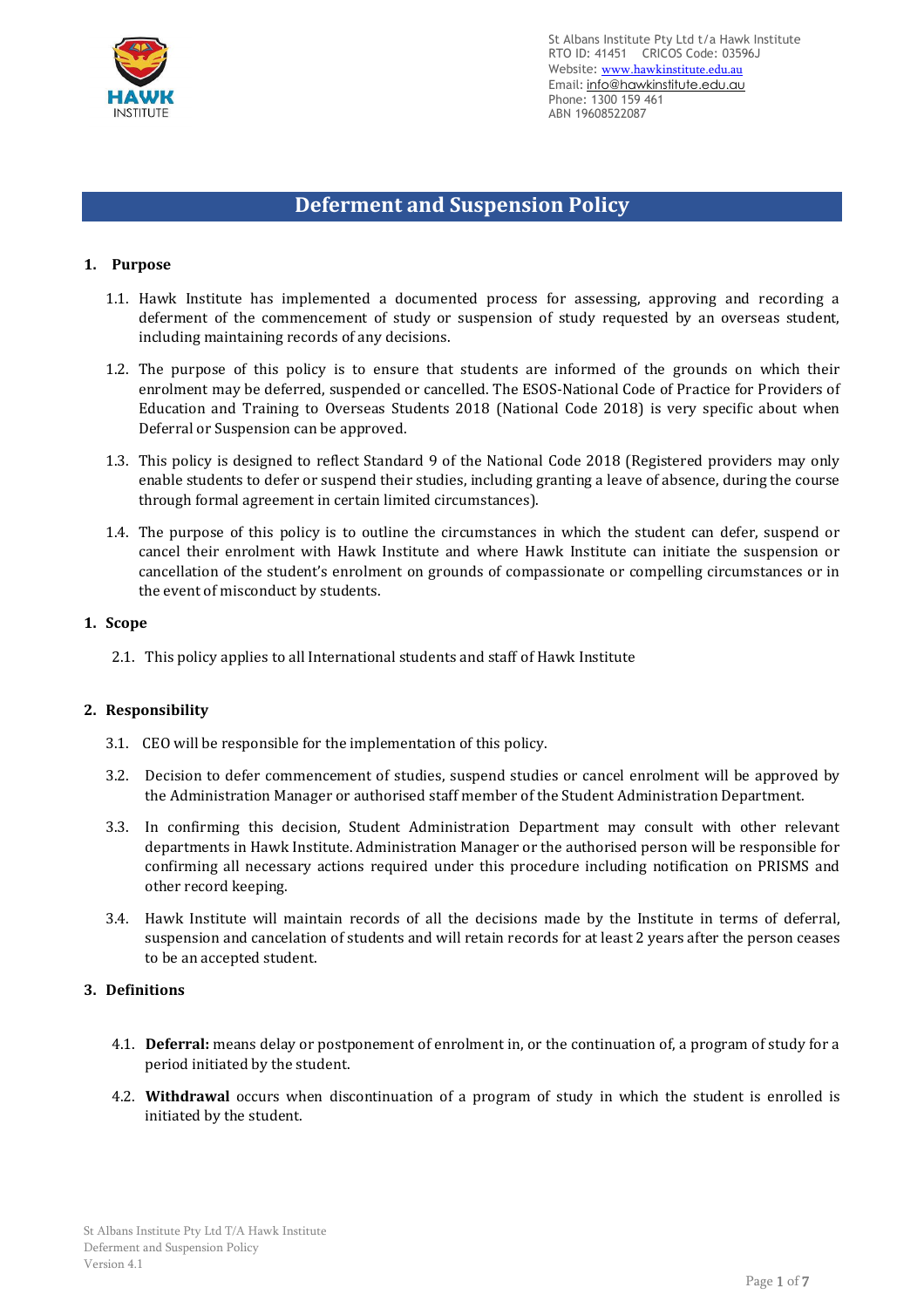

# **Deferment and Suspension Policy**

#### **1. Purpose**

- 1.1. Hawk Institute has implemented a documented process for assessing, approving and recording a deferment of the commencement of study or suspension of study requested by an overseas student, including maintaining records of any decisions.
- 1.2. The purpose of this policy is to ensure that students are informed of the grounds on which their enrolment may be deferred, suspended or cancelled. The ESOS-National Code of Practice for Providers of Education and Training to Overseas Students 2018 (National Code 2018) is very specific about when Deferral or Suspension can be approved.
- 1.3. This policy is designed to reflect Standard 9 of the National Code 2018 (Registered providers may only enable students to defer or suspend their studies, including granting a leave of absence, during the course through formal agreement in certain limited circumstances).
- 1.4. The purpose of this policy is to outline the circumstances in which the student can defer, suspend or cancel their enrolment with Hawk Institute and where Hawk Institute can initiate the suspension or cancellation of the student's enrolment on grounds of compassionate or compelling circumstances or in the event of misconduct by students.

#### **1. Scope**

2.1. This policy applies to all International students and staff of Hawk Institute

## **2. Responsibility**

- 3.1. CEO will be responsible for the implementation of this policy.
- 3.2. Decision to defer commencement of studies, suspend studies or cancel enrolment will be approved by the Administration Manager or authorised staff member of the Student Administration Department.
- 3.3. In confirming this decision, Student Administration Department may consult with other relevant departments in Hawk Institute. Administration Manager or the authorised person will be responsible for confirming all necessary actions required under this procedure including notification on PRISMS and other record keeping.
- 3.4. Hawk Institute will maintain records of all the decisions made by the Institute in terms of deferral, suspension and cancelation of students and will retain records for at least 2 years after the person ceases to be an accepted student.

#### **3. Definitions**

- 4.1. **Deferral:** means delay or postponement of enrolment in, or the continuation of, a program of study for a period initiated by the student.
- 4.2. **Withdrawal** occurs when discontinuation of a program of study in which the student is enrolled is initiated by the student.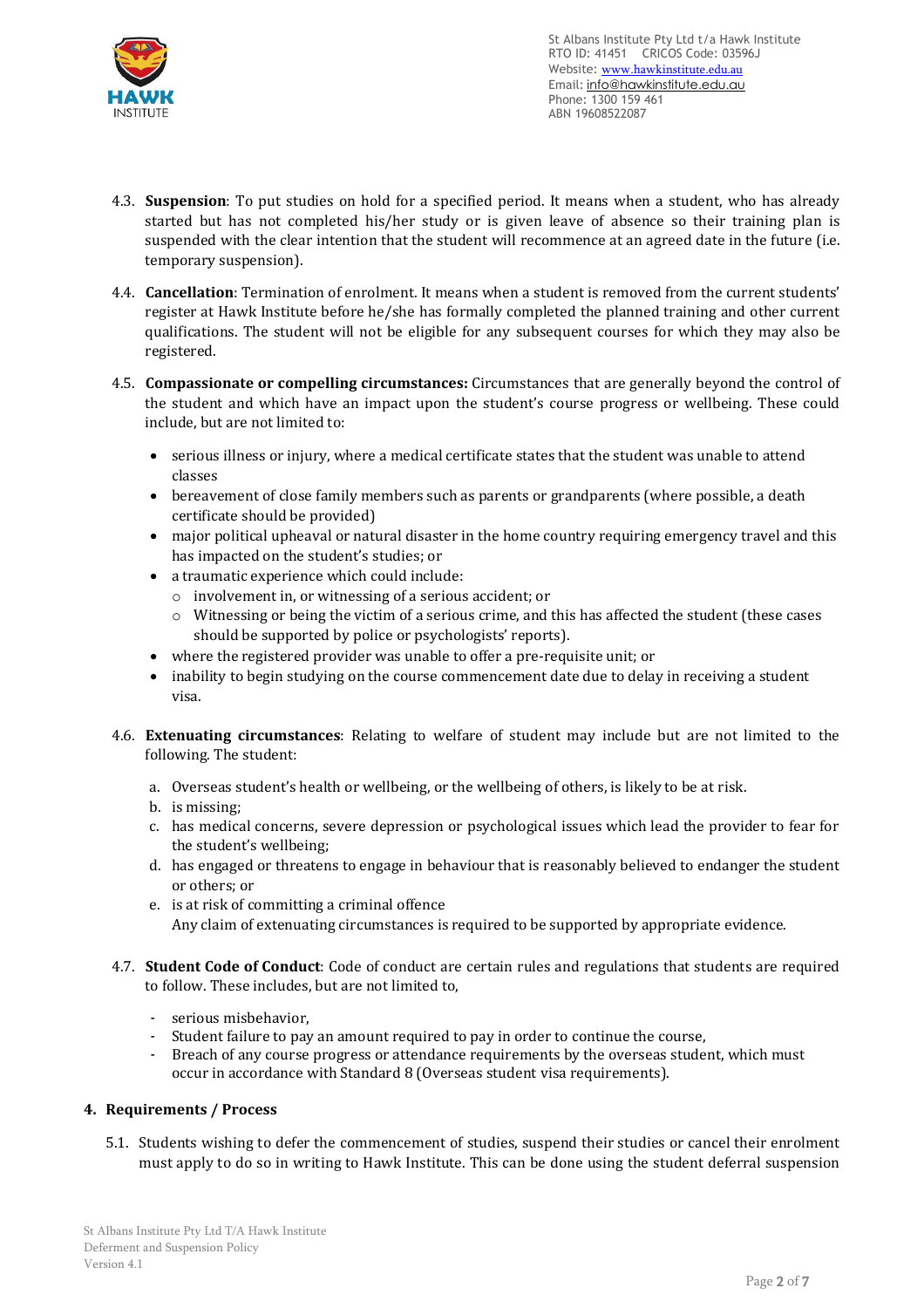

- 4.3. **Suspension**: To put studies on hold for a specified period. It means when a student, who has already started but has not completed his/her study or is given leave of absence so their training plan is suspended with the clear intention that the student will recommence at an agreed date in the future (i.e. temporary suspension).
- 4.4. **Cancellation**: Termination of enrolment. It means when a student is removed from the current students' register at Hawk Institute before he/she has formally completed the planned training and other current qualifications. The student will not be eligible for any subsequent courses for which they may also be registered.
- 4.5. **Compassionate or compelling circumstances:** Circumstances that are generally beyond the control of the student and which have an impact upon the student's course progress or wellbeing. These could include, but are not limited to:
	- serious illness or injury, where a medical certificate states that the student was unable to attend classes
	- bereavement of close family members such as parents or grandparents (where possible, a death certificate should be provided)
	- major political upheaval or natural disaster in the home country requiring emergency travel and this has impacted on the student's studies; or
	- a traumatic experience which could include:
		- o involvement in, or witnessing of a serious accident; or
		- o Witnessing or being the victim of a serious crime, and this has affected the student (these cases should be supported by police or psychologists' reports).
	- where the registered provider was unable to offer a pre-requisite unit; or
	- inability to begin studying on the course commencement date due to delay in receiving a student visa.
- 4.6. **Extenuating circumstances**: Relating to welfare of student may include but are not limited to the following. The student:
	- a. Overseas student's health or wellbeing, or the wellbeing of others, is likely to be at risk.
	- b. is missing;
	- c. has medical concerns, severe depression or psychological issues which lead the provider to fear for the student's wellbeing;
	- d. has engaged or threatens to engage in behaviour that is reasonably believed to endanger the student or others; or
	- e. is at risk of committing a criminal offence Any claim of extenuating circumstances is required to be supported by appropriate evidence.
- 4.7. **Student Code of Conduct**: Code of conduct are certain rules and regulations that students are required to follow. These includes, but are not limited to,
	- serious misbehavior,
	- Student failure to pay an amount required to pay in order to continue the course,
	- Breach of any course progress or attendance requirements by the overseas student, which must occur in accordance with Standard 8 (Overseas student visa requirements).

## **4. Requirements / Process**

5.1. Students wishing to defer the commencement of studies, suspend their studies or cancel their enrolment must apply to do so in writing to Hawk Institute. This can be done using the student deferral suspension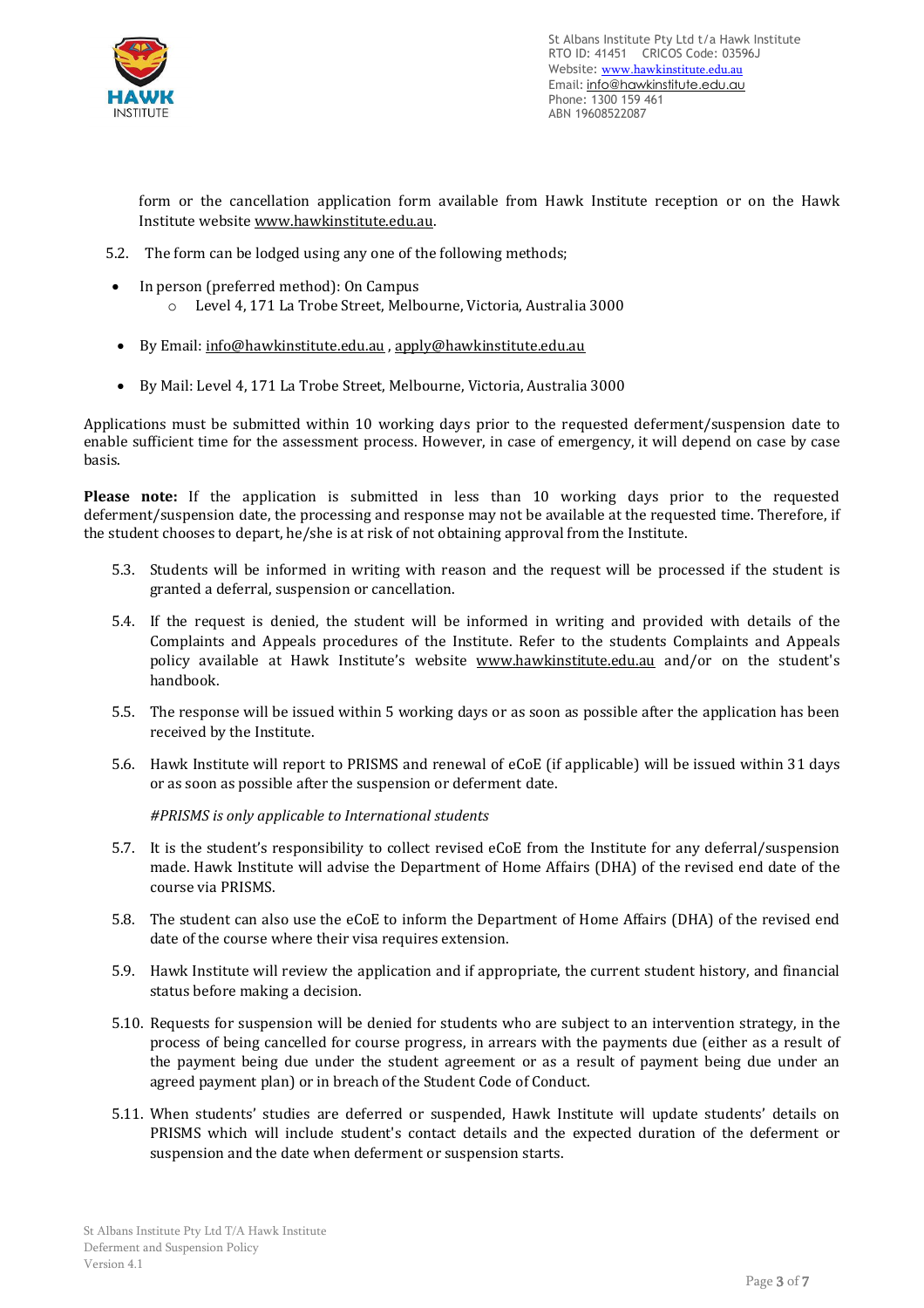

form or the cancellation application form available from Hawk Institute reception or on the Hawk Institute website [www.hawkinstitute.edu.au.](http://www.hawkinstitute.edu.au/)

- 5.2. The form can be lodged using any one of the following methods;
- In person (preferred method): On Campus
	- o Level 4, 171 La Trobe Street, Melbourne, Victoria, Australia 3000
- By Email: [info@hawkinstitute.edu.au](mailto:info@hawkinstitute.edu.au) , [apply@hawkinstitute.edu.au](mailto:apply@hawkinstitute.edu.au)
- By Mail: Level 4, 171 La Trobe Street, Melbourne, Victoria, Australia 3000

Applications must be submitted within 10 working days prior to the requested deferment/suspension date to enable sufficient time for the assessment process. However, in case of emergency, it will depend on case by case basis.

**Please note:** If the application is submitted in less than 10 working days prior to the requested deferment/suspension date, the processing and response may not be available at the requested time. Therefore, if the student chooses to depart, he/she is at risk of not obtaining approval from the Institute.

- 5.3. Students will be informed in writing with reason and the request will be processed if the student is granted a deferral, suspension or cancellation.
- 5.4. If the request is denied, the student will be informed in writing and provided with details of the Complaints and Appeals procedures of the Institute. Refer to the students Complaints and Appeals policy available at Hawk Institute's website [www.hawkinstitute.edu.au](http://www.hawkinstitute.edu.au/) and/or on the student's handbook.
- 5.5. The response will be issued within 5 working days or as soon as possible after the application has been received by the Institute.
- 5.6. Hawk Institute will report to PRISMS and renewal of eCoE (if applicable) will be issued within 31 days or as soon as possible after the suspension or deferment date.

*#PRISMS is only applicable to International students*

- 5.7. It is the student's responsibility to collect revised eCoE from the Institute for any deferral/suspension made. Hawk Institute will advise the Department of Home Affairs (DHA) of the revised end date of the course via PRISMS.
- 5.8. The student can also use the eCoE to inform the Department of Home Affairs (DHA) of the revised end date of the course where their visa requires extension.
- 5.9. Hawk Institute will review the application and if appropriate, the current student history, and financial status before making a decision.
- 5.10. Requests for suspension will be denied for students who are subject to an intervention strategy, in the process of being cancelled for course progress, in arrears with the payments due (either as a result of the payment being due under the student agreement or as a result of payment being due under an agreed payment plan) or in breach of the Student Code of Conduct.
- 5.11. When students' studies are deferred or suspended, Hawk Institute will update students' details on PRISMS which will include student's contact details and the expected duration of the deferment or suspension and the date when deferment or suspension starts.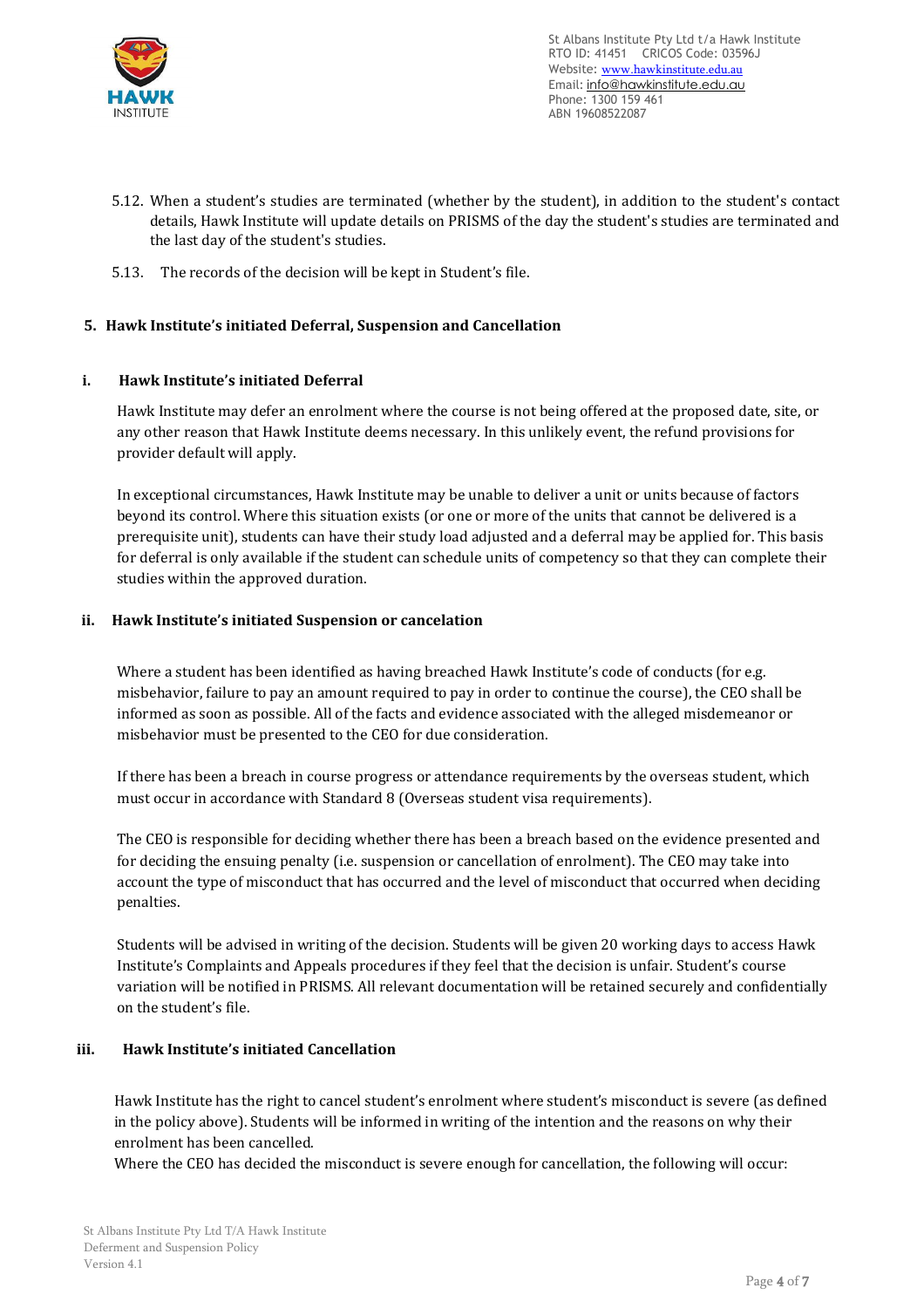

- 5.12. When a student's studies are terminated (whether by the student), in addition to the student's contact details, Hawk Institute will update details on PRISMS of the day the student's studies are terminated and the last day of the student's studies.
- 5.13. The records of the decision will be kept in Student's file.

# **5. Hawk Institute's initiated Deferral, Suspension and Cancellation**

## **i. Hawk Institute's initiated Deferral**

Hawk Institute may defer an enrolment where the course is not being offered at the proposed date, site, or any other reason that Hawk Institute deems necessary. In this unlikely event, the refund provisions for provider default will apply.

In exceptional circumstances, Hawk Institute may be unable to deliver a unit or units because of factors beyond its control. Where this situation exists (or one or more of the units that cannot be delivered is a prerequisite unit), students can have their study load adjusted and a deferral may be applied for. This basis for deferral is only available if the student can schedule units of competency so that they can complete their studies within the approved duration.

## **ii. Hawk Institute's initiated Suspension or cancelation**

Where a student has been identified as having breached Hawk Institute's code of conducts (for e.g. misbehavior, failure to pay an amount required to pay in order to continue the course), the CEO shall be informed as soon as possible. All of the facts and evidence associated with the alleged misdemeanor or misbehavior must be presented to the CEO for due consideration.

If there has been a breach in course progress or attendance requirements by the overseas student, which must occur in accordance with Standard 8 (Overseas student visa requirements).

The CEO is responsible for deciding whether there has been a breach based on the evidence presented and for deciding the ensuing penalty (i.e. suspension or cancellation of enrolment). The CEO may take into account the type of misconduct that has occurred and the level of misconduct that occurred when deciding penalties.

Students will be advised in writing of the decision. Students will be given 20 working days to access Hawk Institute's Complaints and Appeals procedures if they feel that the decision is unfair. Student's course variation will be notified in PRISMS. All relevant documentation will be retained securely and confidentially on the student's file.

## **iii. Hawk Institute's initiated Cancellation**

Hawk Institute has the right to cancel student's enrolment where student's misconduct is severe (as defined in the policy above). Students will be informed in writing of the intention and the reasons on why their enrolment has been cancelled.

Where the CEO has decided the misconduct is severe enough for cancellation, the following will occur: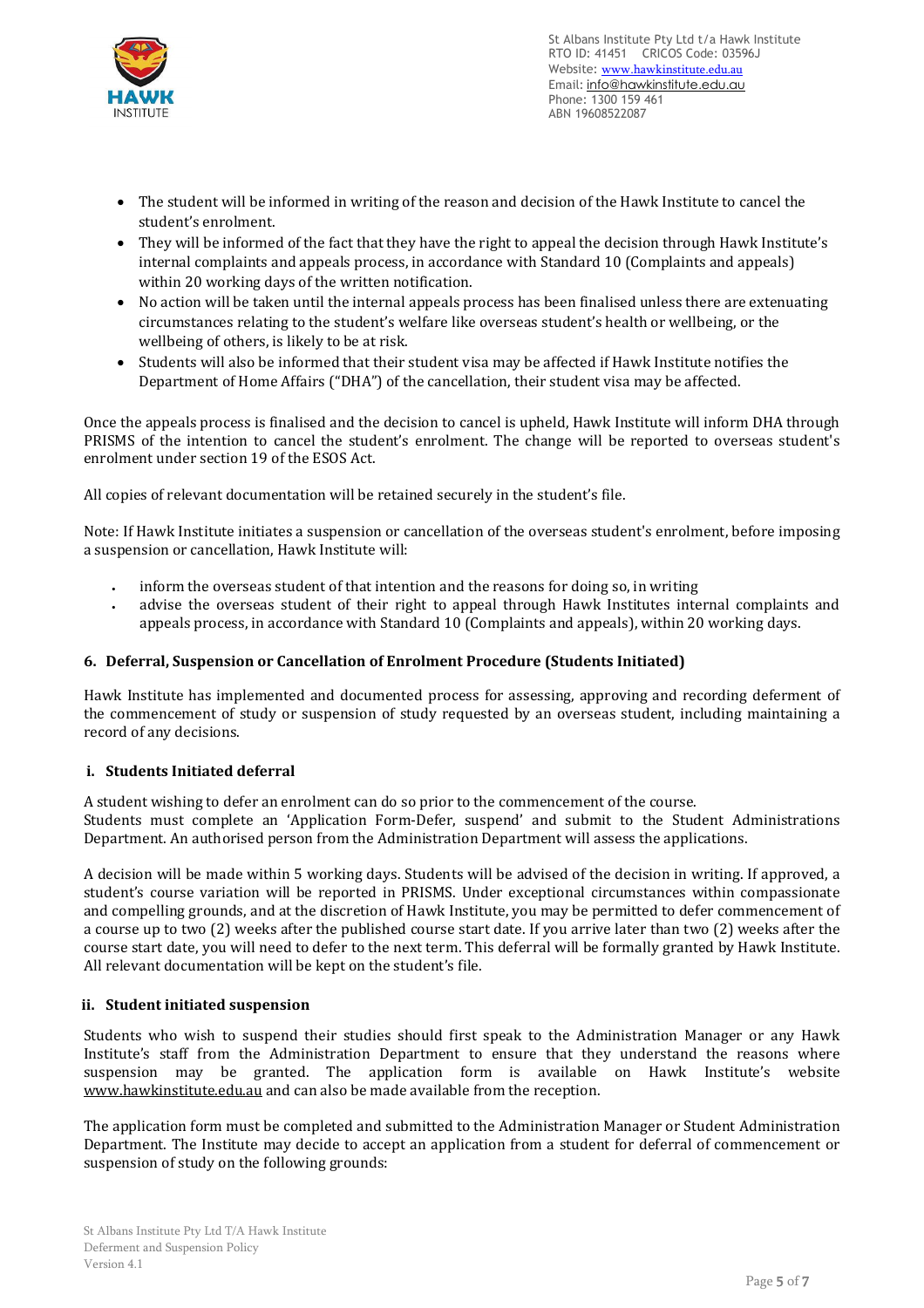

- The student will be informed in writing of the reason and decision of the Hawk Institute to cancel the student's enrolment.
- They will be informed of the fact that they have the right to appeal the decision through Hawk Institute's internal complaints and appeals process, in accordance with Standard 10 (Complaints and appeals) within 20 working days of the written notification.
- No action will be taken until the internal appeals process has been finalised unless there are extenuating circumstances relating to the student's welfare like overseas student's health or wellbeing, or the wellbeing of others, is likely to be at risk.
- Students will also be informed that their student visa may be affected if Hawk Institute notifies the Department of Home Affairs ("DHA") of the cancellation, their student visa may be affected.

Once the appeals process is finalised and the decision to cancel is upheld, Hawk Institute will inform DHA through PRISMS of the intention to cancel the student's enrolment. The change will be reported to overseas student's enrolment under section 19 of the ESOS Act.

All copies of relevant documentation will be retained securely in the student's file.

Note: If Hawk Institute initiates a suspension or cancellation of the overseas student's enrolment, before imposing a suspension or cancellation, Hawk Institute will:

- inform the overseas student of that intention and the reasons for doing so, in writing
- advise the overseas student of their right to appeal through Hawk Institutes internal complaints and appeals process, in accordance with Standard 10 (Complaints and appeals), within 20 working days.

## **6. Deferral, Suspension or Cancellation of Enrolment Procedure (Students Initiated)**

Hawk Institute has implemented and documented process for assessing, approving and recording deferment of the commencement of study or suspension of study requested by an overseas student, including maintaining a record of any decisions.

#### **i. Students Initiated deferral**

A student wishing to defer an enrolment can do so prior to the commencement of the course. Students must complete an 'Application Form-Defer, suspend' and submit to the Student Administrations Department. An authorised person from the Administration Department will assess the applications.

A decision will be made within 5 working days. Students will be advised of the decision in writing. If approved, a student's course variation will be reported in PRISMS. Under exceptional circumstances within compassionate and compelling grounds, and at the discretion of Hawk Institute, you may be permitted to defer commencement of a course up to two (2) weeks after the published course start date. If you arrive later than two (2) weeks after the course start date, you will need to defer to the next term. This deferral will be formally granted by Hawk Institute. All relevant documentation will be kept on the student's file.

#### **ii. Student initiated suspension**

Students who wish to suspend their studies should first speak to the Administration Manager or any Hawk Institute's staff from the Administration Department to ensure that they understand the reasons where suspension may be granted. The application form is available on Hawk Institute's website [www.hawkinstitute.edu.au](http://www.hawkinstitute.edu.au/) and can also be made available from the reception.

The application form must be completed and submitted to the Administration Manager or Student Administration Department. The Institute may decide to accept an application from a student for deferral of commencement or suspension of study on the following grounds: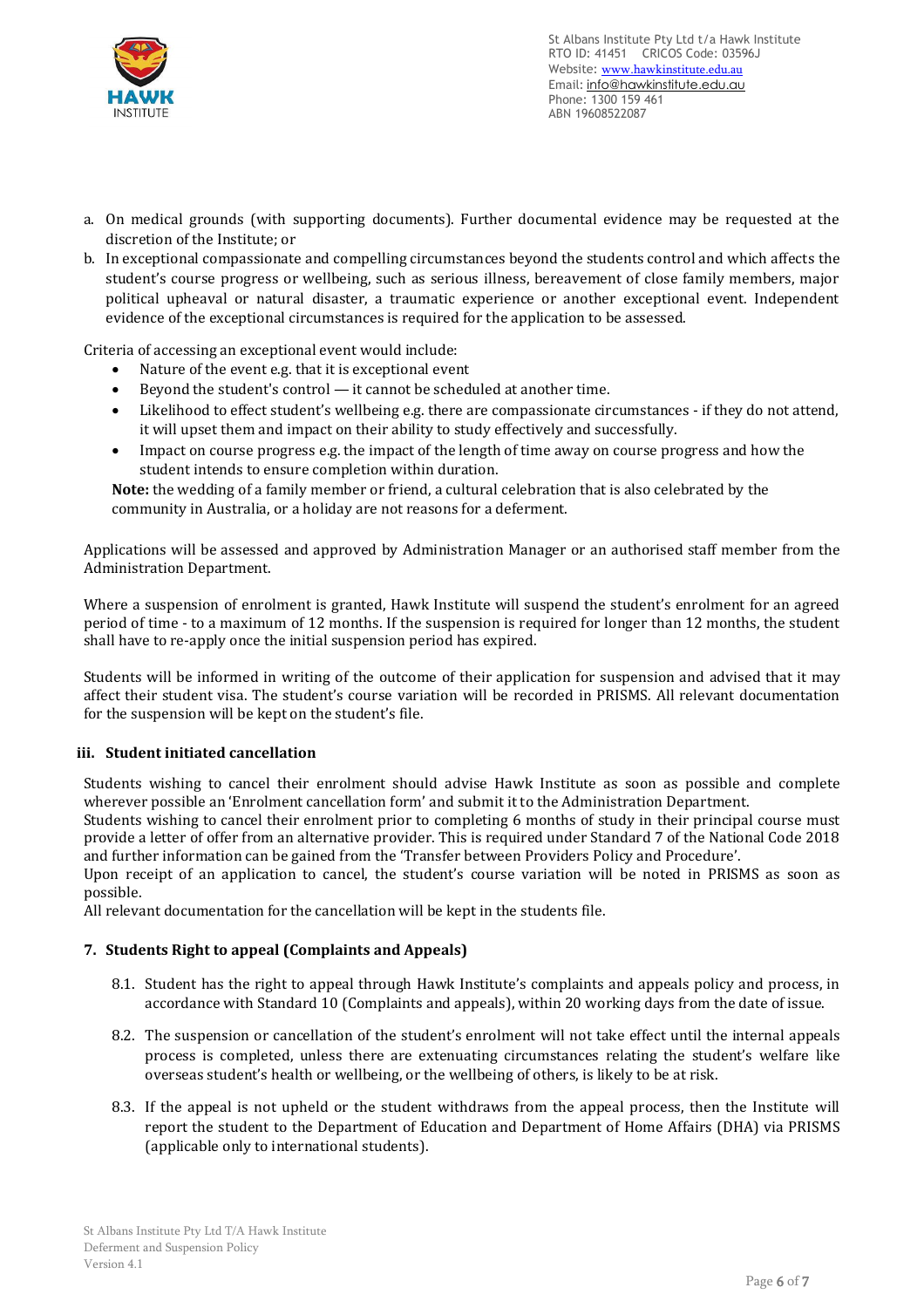

- a. On medical grounds (with supporting documents). Further documental evidence may be requested at the discretion of the Institute; or
- b. In exceptional compassionate and compelling circumstances beyond the students control and which affects the student's course progress or wellbeing, such as serious illness, bereavement of close family members, major political upheaval or natural disaster, a traumatic experience or another exceptional event. Independent evidence of the exceptional circumstances is required for the application to be assessed.

Criteria of accessing an exceptional event would include:

- Nature of the event e.g. that it is exceptional event
- Beyond the student's control it cannot be scheduled at another time.
- Likelihood to effect student's wellbeing e.g. there are compassionate circumstances if they do not attend, it will upset them and impact on their ability to study effectively and successfully.
- Impact on course progress e.g. the impact of the length of time away on course progress and how the student intends to ensure completion within duration.

**Note:** the wedding of a family member or friend, a cultural celebration that is also celebrated by the community in Australia, or a holiday are not reasons for a deferment.

Applications will be assessed and approved by Administration Manager or an authorised staff member from the Administration Department.

Where a suspension of enrolment is granted, Hawk Institute will suspend the student's enrolment for an agreed period of time - to a maximum of 12 months. If the suspension is required for longer than 12 months, the student shall have to re-apply once the initial suspension period has expired.

Students will be informed in writing of the outcome of their application for suspension and advised that it may affect their student visa. The student's course variation will be recorded in PRISMS. All relevant documentation for the suspension will be kept on the student's file.

## **iii. Student initiated cancellation**

Students wishing to cancel their enrolment should advise Hawk Institute as soon as possible and complete wherever possible an 'Enrolment cancellation form' and submit it to the Administration Department.

Students wishing to cancel their enrolment prior to completing 6 months of study in their principal course must provide a letter of offer from an alternative provider. This is required under Standard 7 of the National Code 2018 and further information can be gained from the 'Transfer between Providers Policy and Procedure'.

Upon receipt of an application to cancel, the student's course variation will be noted in PRISMS as soon as possible.

All relevant documentation for the cancellation will be kept in the students file.

#### **7. Students Right to appeal (Complaints and Appeals)**

- 8.1. Student has the right to appeal through Hawk Institute's complaints and appeals policy and process, in accordance with Standard 10 (Complaints and appeals), within 20 working days from the date of issue.
- 8.2. The suspension or cancellation of the student's enrolment will not take effect until the internal appeals process is completed, unless there are extenuating circumstances relating the student's welfare like overseas student's health or wellbeing, or the wellbeing of others, is likely to be at risk.
- 8.3. If the appeal is not upheld or the student withdraws from the appeal process, then the Institute will report the student to the Department of Education and Department of Home Affairs (DHA) via PRISMS (applicable only to international students).